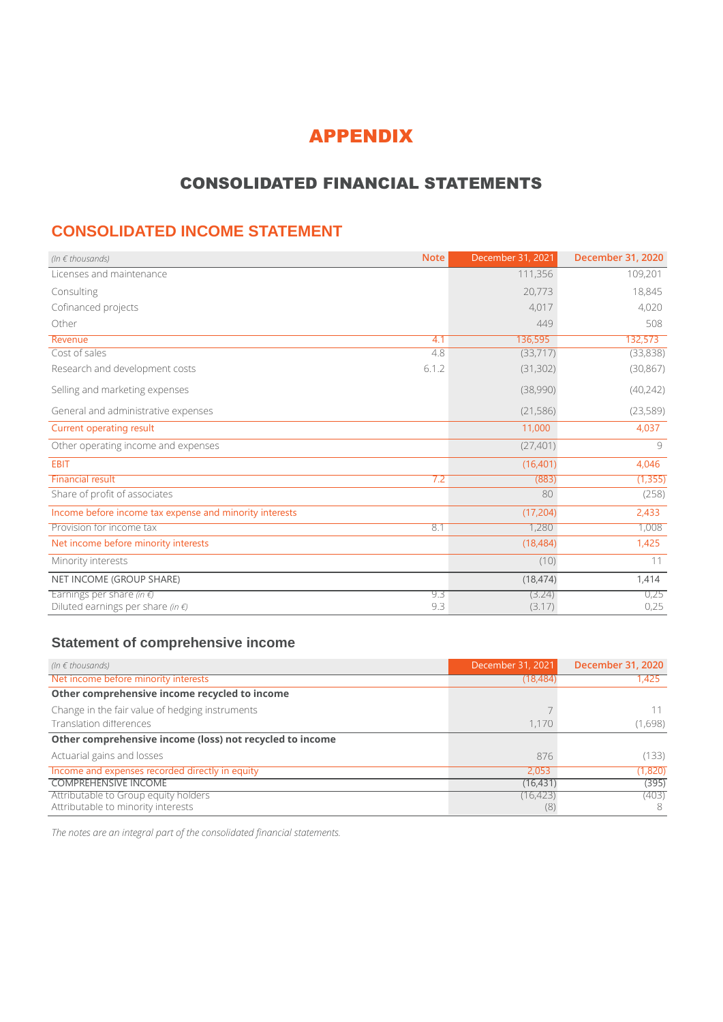## APPENDIX

## CONSOLIDATED FINANCIAL STATEMENTS

### **CONSOLIDATED INCOME STATEMENT**

| (In $\epsilon$ thousands)                                                       | <b>Note</b> | December 31, 2021 | December 31, 2020 |
|---------------------------------------------------------------------------------|-------------|-------------------|-------------------|
| Licenses and maintenance                                                        |             | 111,356           | 109,201           |
| Consulting                                                                      |             | 20,773            | 18,845            |
| Cofinanced projects                                                             |             | 4,017             | 4,020             |
| Other                                                                           |             | 449               | 508               |
| Revenue                                                                         | 4.1         | 136,595           | 132,573           |
| Cost of sales                                                                   | 4.8         | (33,717)          | (33,838)          |
| Research and development costs                                                  | 6.1.2       | (31, 302)         | (30, 867)         |
| Selling and marketing expenses                                                  |             | (38,990)          | (40, 242)         |
| General and administrative expenses                                             |             | (21, 586)         | (23,589)          |
| <b>Current operating result</b>                                                 |             | 11,000            | 4,037             |
| Other operating income and expenses                                             |             | (27, 401)         | Q                 |
| <b>EBIT</b>                                                                     |             | (16, 401)         | 4,046             |
| <b>Financial result</b>                                                         | 7.2         | (883)             | (1, 355)          |
| Share of profit of associates                                                   |             | 80                | (258)             |
| Income before income tax expense and minority interests                         |             | (17, 204)         | 2,433             |
| Provision for income tax                                                        | 8.1         | 1,280             | 1,008             |
| Net income before minority interests                                            |             | (18, 484)         | 1,425             |
| Minority interests                                                              |             | (10)              | 11                |
| NET INCOME (GROUP SHARE)                                                        |             | (18, 474)         | 1,414             |
| Earnings per share (in $\not\in$ )<br>Diluted earnings per share (in $\notin$ ) | 9.3<br>9.3  | (3.24)<br>(3.17)  | 0,25<br>0,25      |

#### **Statement of comprehensive income**

| (In $\epsilon$ thousands)                                | December 31, 2021 | December 31, 2020 |
|----------------------------------------------------------|-------------------|-------------------|
| Net income before minority interests                     | (18, 484)         | 1,425             |
| Other comprehensive income recycled to income            |                   |                   |
| Change in the fair value of hedging instruments          |                   |                   |
| Translation differences                                  | 1.170             | (1,698)           |
| Other comprehensive income (loss) not recycled to income |                   |                   |
| Actuarial gains and losses                               | 876               | (133)             |
| Income and expenses recorded directly in equity          | 2.053             | (1,820)           |
| <b>COMPREHENSIVE INCOME</b>                              | (16, 431)         | (395)             |
| Attributable to Group equity holders                     | (16, 423)         | (403)             |
| Attributable to minority interests                       | (8)               | 8                 |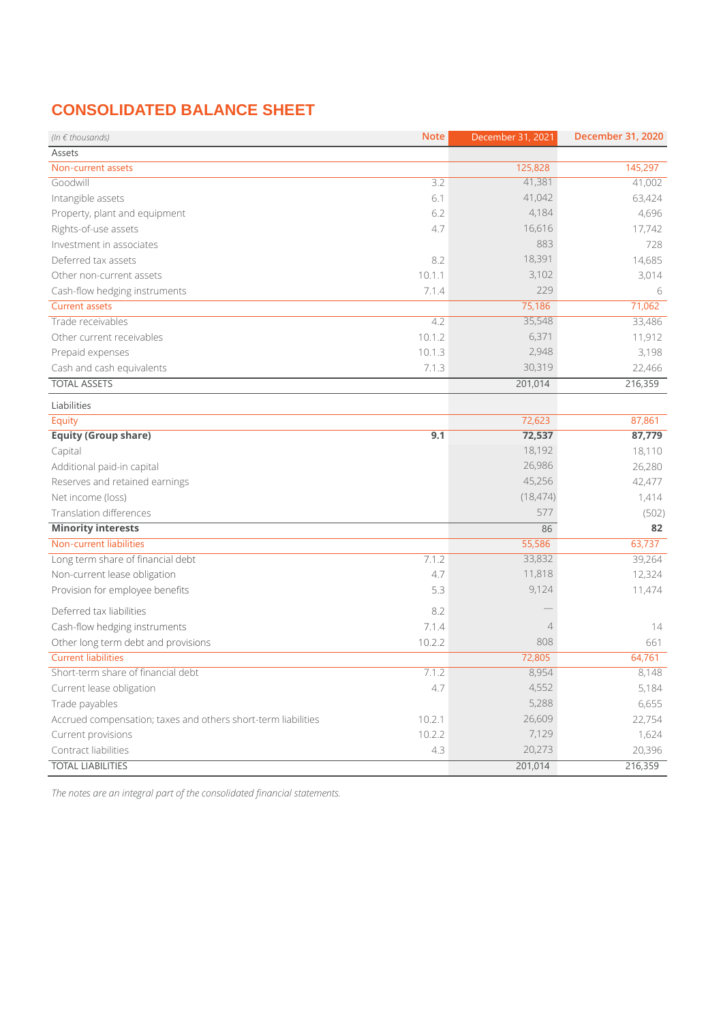# **CONSOLIDATED BALANCE SHEET**

| (In $\epsilon$ thousands)                                     | <b>Note</b> | December 31, 2021 | December 31, 2020 |
|---------------------------------------------------------------|-------------|-------------------|-------------------|
| Assets                                                        |             |                   |                   |
| Non-current assets                                            |             | 125,828           | 145,297           |
| Goodwill                                                      | 3.2         | 41,381            | 41,002            |
| Intangible assets                                             | 6.1         | 41,042            | 63,424            |
| Property, plant and equipment                                 | 6.2         | 4,184             | 4,696             |
| Rights-of-use assets                                          | 4.7         | 16,616            | 17,742            |
| Investment in associates                                      |             | 883               | 728               |
| Deferred tax assets                                           | 8.2         | 18,391            | 14,685            |
| Other non-current assets                                      | 10.1.1      | 3,102             | 3,014             |
| Cash-flow hedging instruments                                 | 7.1.4       | 229               | 6                 |
| <b>Current assets</b>                                         |             | 75,186            | 71,062            |
| Trade receivables                                             | 4.2         | 35,548            | 33,486            |
| Other current receivables                                     | 10.1.2      | 6,371             | 11,912            |
| Prepaid expenses                                              | 10.1.3      | 2,948             | 3,198             |
| Cash and cash equivalents                                     | 7.1.3       | 30,319            | 22,466            |
| <b>TOTAL ASSETS</b>                                           |             | 201,014           | 216,359           |
| Liabilities                                                   |             |                   |                   |
| Equity                                                        |             | 72,623            | 87,861            |
| <b>Equity (Group share)</b>                                   | 9.1         | 72,537            | 87,779            |
| Capital                                                       |             | 18,192            | 18,110            |
| Additional paid-in capital                                    |             | 26,986            | 26,280            |
| Reserves and retained earnings                                |             | 45,256            | 42,477            |
| Net income (loss)                                             |             | (18, 474)         | 1,414             |
| Translation differences                                       |             | 577               | (502)             |
| <b>Minority interests</b>                                     |             | 86                | 82                |
| Non-current liabilities                                       |             | 55,586            | 63,737            |
| Long term share of financial debt                             | 7.1.2       | 33,832            | 39,264            |
| Non-current lease obligation                                  | 4.7         | 11,818            | 12,324            |
| Provision for employee benefits                               | 5.3         | 9,124             | 11,474            |
| Deferred tax liabilities                                      | 8.2         |                   |                   |
| Cash-flow hedging instruments                                 | 7.1.4       | $\overline{4}$    | 14                |
| Other long term debt and provisions                           | 10.2.2      | 808               | 661               |
| <b>Current liabilities</b>                                    |             | 72,805            | 64,761            |
| Short-term share of financial debt                            | 7.1.2       | 8,954             | 8,148             |
| Current lease obligation                                      | 4.7         | 4,552             | 5,184             |
| Trade payables                                                |             | 5,288             | 6,655             |
| Accrued compensation; taxes and others short-term liabilities | 10.2.1      | 26,609            | 22,754            |
| Current provisions                                            | 10.2.2      | 7,129             | 1,624             |
| Contract liabilities                                          | 4.3         | 20,273            | 20,396            |
| <b>TOTAL LIABILITIES</b>                                      |             | 201,014           | 216,359           |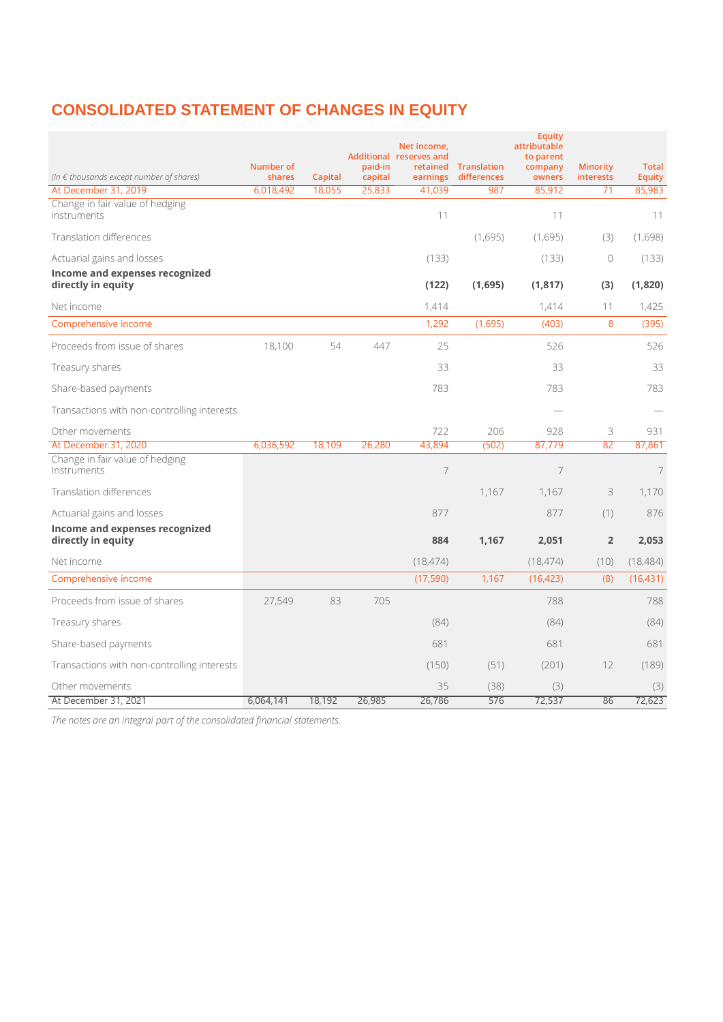## **CONSOLIDATED STATEMENT OF CHANGES IN EQUITY**

|                                                      | Number of |         | paid-in | Net income,<br>Additional reserves and | retained Translation | <b>Equity</b><br>attributable<br>to parent<br>company | <b>Minority</b> | <b>Total</b>   |
|------------------------------------------------------|-----------|---------|---------|----------------------------------------|----------------------|-------------------------------------------------------|-----------------|----------------|
| (In $\epsilon$ thousands except number of shares)    | shares    | Capital | capital | earnings                               | differences          | owners                                                | interests       | <b>Equity</b>  |
| At December 31, 2019                                 | 6,018,492 | 18,055  | 25,833  | 41,039                                 | 987                  | 85,912                                                | 71              | 85,983         |
| Change in fair value of hedging<br>instruments       |           |         |         | 11                                     |                      | 11                                                    |                 | 11             |
| <b>Translation differences</b>                       |           |         |         |                                        | (1,695)              | (1,695)                                               | (3)             | (1,698)        |
| Actuarial gains and losses                           |           |         |         | (133)                                  |                      | (133)                                                 | $\circ$         | (133)          |
| Income and expenses recognized<br>directly in equity |           |         |         | (122)                                  | (1,695)              | (1, 817)                                              | (3)             | (1,820)        |
| Net income                                           |           |         |         | 1,414                                  |                      | 1,414                                                 | 11              | 1,425          |
| Comprehensive income                                 |           |         |         | 1,292                                  | (1,695)              | (403)                                                 | 8               | (395)          |
| Proceeds from issue of shares                        | 18,100    | 54      | 447     | 25                                     |                      | 526                                                   |                 | 526            |
| Treasury shares                                      |           |         |         | 33                                     |                      | 33                                                    |                 | 33             |
| Share-based payments                                 |           |         |         | 783                                    |                      | 783                                                   |                 | 783            |
| Transactions with non-controlling interests          |           |         |         |                                        |                      |                                                       |                 |                |
| Other movements                                      |           |         |         | 722                                    | 206                  | 928                                                   | 3               | 931            |
| At December 31, 2020                                 | 6,036,592 | 18,109  | 26,280  | 43,894                                 | (502)                | 87,779                                                | 82              | 87,861         |
| Change in fair value of hedging<br>Instruments       |           |         |         | 7                                      |                      | $\overline{7}$                                        |                 | $\overline{7}$ |
| Translation differences                              |           |         |         |                                        | 1,167                | 1,167                                                 | 3               | 1,170          |
| Actuarial gains and losses                           |           |         |         | 877                                    |                      | 877                                                   | (1)             | 876            |
| Income and expenses recognized<br>directly in equity |           |         |         | 884                                    | 1,167                | 2,051                                                 | $\overline{2}$  | 2,053          |
| Net income                                           |           |         |         | (18, 474)                              |                      | (18, 474)                                             | (10)            | (18, 484)      |
| Comprehensive income                                 |           |         |         | (17, 590)                              | 1,167                | (16, 423)                                             | (8)             | (16, 431)      |
| Proceeds from issue of shares                        | 27,549    | 83      | 705     |                                        |                      | 788                                                   |                 | 788            |
| Treasury shares                                      |           |         |         | (84)                                   |                      | (84)                                                  |                 | (84)           |
| Share-based payments                                 |           |         |         | 681                                    |                      | 681                                                   |                 | 681            |
| Transactions with non-controlling interests          |           |         |         | (150)                                  | (51)                 | (201)                                                 | 12              | (189)          |
| Other movements                                      |           |         |         | 35                                     | (38)                 | (3)                                                   |                 | (3)            |
| At December 31, 2021                                 | 6,064,141 | 18,192  | 26,985  | 26,786                                 | 576                  | 72,537                                                | 86              | 72,623         |